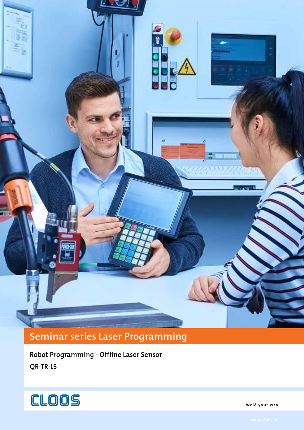**Seminar series Laser Programming**

**Robot Programming - Offline Laser Sensor QR-TR-LS**



Weld your way.